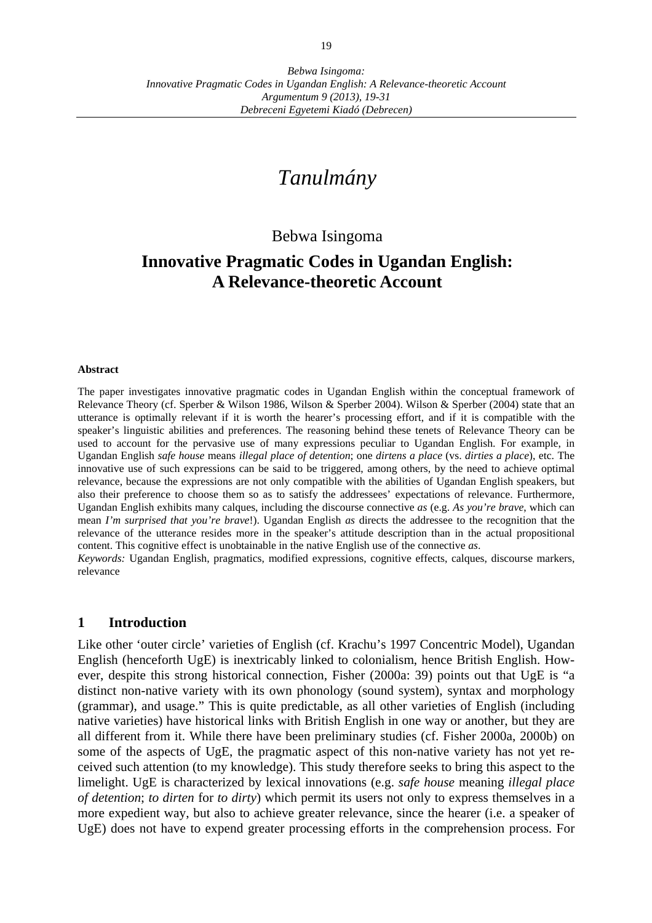# *Tanulmány*

## Bebwa Isingoma

## **Innovative Pragmatic Codes in Ugandan English: A Relevance-theoretic Account**

#### **Abstract**

The paper investigates innovative pragmatic codes in Ugandan English within the conceptual framework of Relevance Theory (cf. Sperber & Wilson 1986, Wilson & Sperber 2004). Wilson & Sperber (2004) state that an utterance is optimally relevant if it is worth the hearer's processing effort, and if it is compatible with the speaker's linguistic abilities and preferences. The reasoning behind these tenets of Relevance Theory can be used to account for the pervasive use of many expressions peculiar to Ugandan English. For example, in Ugandan English *safe house* means *illegal place of detention*; one *dirtens a place* (vs. *dirties a place*), etc. The innovative use of such expressions can be said to be triggered, among others, by the need to achieve optimal relevance, because the expressions are not only compatible with the abilities of Ugandan English speakers, but also their preference to choose them so as to satisfy the addressees' expectations of relevance. Furthermore, Ugandan English exhibits many calques, including the discourse connective *as* (e.g. *As you're brave*, which can mean *I'm surprised that you're brave*!). Ugandan English *as* directs the addressee to the recognition that the relevance of the utterance resides more in the speaker's attitude description than in the actual propositional content. This cognitive effect is unobtainable in the native English use of the connective *as*. *Keywords:* Ugandan English, pragmatics, modified expressions, cognitive effects, calques, discourse markers,

relevance

#### **1 Introduction**

Like other 'outer circle' varieties of English (cf. Krachu's 1997 Concentric Model), Ugandan English (henceforth UgE) is inextricably linked to colonialism, hence British English. However, despite this strong historical connection, Fisher (2000a: 39) points out that UgE is "a distinct non-native variety with its own phonology (sound system), syntax and morphology (grammar), and usage." This is quite predictable, as all other varieties of English (including native varieties) have historical links with British English in one way or another, but they are all different from it. While there have been preliminary studies (cf. Fisher 2000a, 2000b) on some of the aspects of UgE, the pragmatic aspect of this non-native variety has not yet received such attention (to my knowledge). This study therefore seeks to bring this aspect to the limelight. UgE is characterized by lexical innovations (e.g. *safe house* meaning *illegal place of detention*; *to dirten* for *to dirty*) which permit its users not only to express themselves in a more expedient way, but also to achieve greater relevance, since the hearer (i.e. a speaker of UgE) does not have to expend greater processing efforts in the comprehension process. For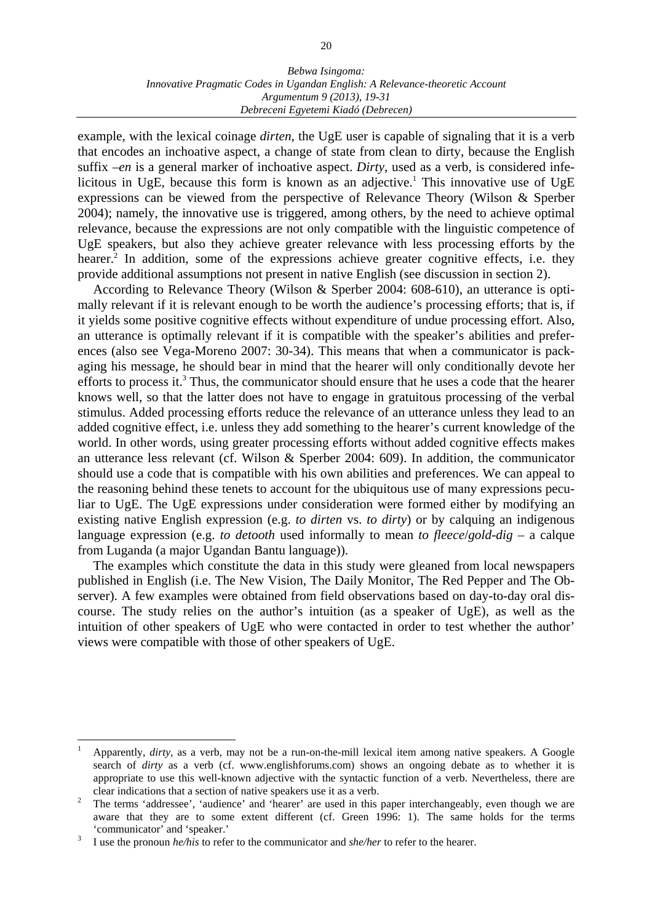example, with the lexical coinage *dirten*, the UgE user is capable of signaling that it is a verb that encodes an inchoative aspect, a change of state from clean to dirty, because the English suffix –*en* is a general marker of inchoative aspect. *Dirty*, used as a verb, is considered infelicitous in UgE, because this form is known as an adjective.<sup>1</sup> This innovative use of UgE expressions can be viewed from the perspective of Relevance Theory (Wilson & Sperber 2004); namely, the innovative use is triggered, among others, by the need to achieve optimal relevance, because the expressions are not only compatible with the linguistic competence of UgE speakers, but also they achieve greater relevance with less processing efforts by the hearer.<sup>2</sup> In addition, some of the expressions achieve greater cognitive effects, i.e. they provide additional assumptions not present in native English (see discussion in section 2).

 According to Relevance Theory (Wilson & Sperber 2004: 608-610), an utterance is optimally relevant if it is relevant enough to be worth the audience's processing efforts; that is, if it yields some positive cognitive effects without expenditure of undue processing effort. Also, an utterance is optimally relevant if it is compatible with the speaker's abilities and preferences (also see Vega-Moreno 2007: 30-34). This means that when a communicator is packaging his message, he should bear in mind that the hearer will only conditionally devote her efforts to process it.<sup>3</sup> Thus, the communicator should ensure that he uses a code that the hearer knows well, so that the latter does not have to engage in gratuitous processing of the verbal stimulus. Added processing efforts reduce the relevance of an utterance unless they lead to an added cognitive effect, i.e. unless they add something to the hearer's current knowledge of the world. In other words, using greater processing efforts without added cognitive effects makes an utterance less relevant (cf. Wilson & Sperber 2004: 609). In addition, the communicator should use a code that is compatible with his own abilities and preferences. We can appeal to the reasoning behind these tenets to account for the ubiquitous use of many expressions peculiar to UgE. The UgE expressions under consideration were formed either by modifying an existing native English expression (e.g. *to dirten* vs. *to dirty*) or by calquing an indigenous language expression (e.g. *to detooth* used informally to mean *to fleece*/*gold-dig* – a calque from Luganda (a major Ugandan Bantu language)).

 The examples which constitute the data in this study were gleaned from local newspapers published in English (i.e. The New Vision, The Daily Monitor, The Red Pepper and The Observer). A few examples were obtained from field observations based on day-to-day oral discourse. The study relies on the author's intuition (as a speaker of UgE), as well as the intuition of other speakers of UgE who were contacted in order to test whether the author' views were compatible with those of other speakers of UgE.

<sup>1</sup> Apparently, *dirty*, as a verb, may not be a run-on-the-mill lexical item among native speakers. A Google search of *dirty* as a verb (cf. www.englishforums.com) shows an ongoing debate as to whether it is appropriate to use this well-known adjective with the syntactic function of a verb. Nevertheless, there are clear indications that a section of native speakers use it as a verb.

The terms 'addressee', 'audience' and 'hearer' are used in this paper interchangeably, even though we are aware that they are to some extent different (cf. Green 1996: 1). The same holds for the terms 'communicator' and 'speaker.'

I use the pronoun *he/his* to refer to the communicator and *she/her* to refer to the hearer.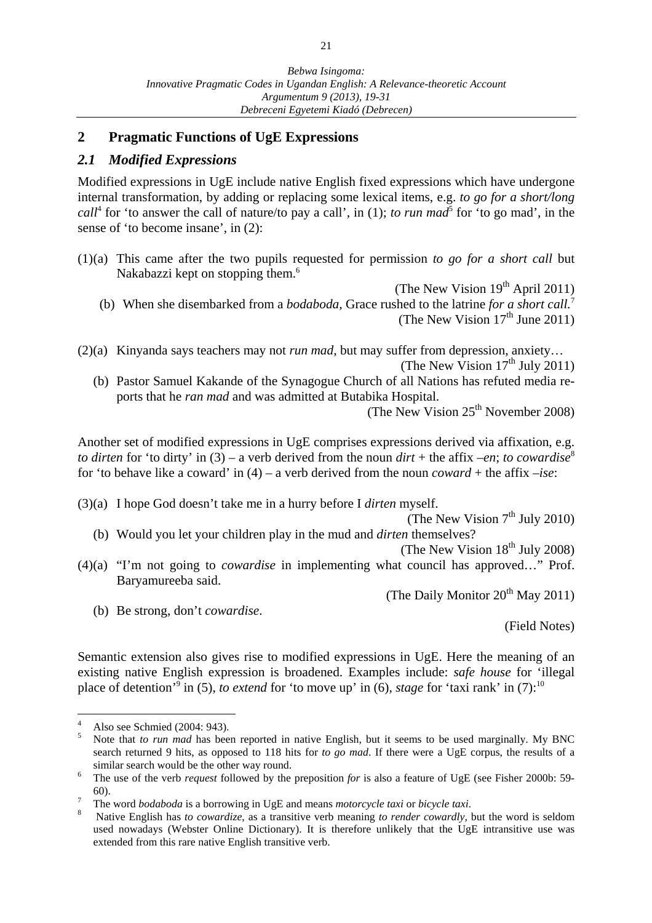## **2 Pragmatic Functions of UgE Expressions**

## *2.1 Modified Expressions*

Modified expressions in UgE include native English fixed expressions which have undergone internal transformation, by adding or replacing some lexical items, e.g. *to go for a short/long call*<sup>4</sup> for 'to answer the call of nature/to pay a call', in (1); *to run mad*<sup>5</sup> for 'to go mad', in the sense of 'to become insane', in (2):

 $(1)(a)$  This came after the two pupils requested for permission *to go for a short call* but Nakabazzi kept on stopping them.<sup>6</sup>

(The New Vision  $19<sup>th</sup>$  April 2011)

- (b) When she disembarked from a *bodaboda*, Grace rushed to the latrine *for a short call.*<sup>7</sup> (The New Vision  $17<sup>th</sup>$  June 2011)
- (2)(a) Kinyanda says teachers may not *run mad*, but may suffer from depression, anxiety… (The New Vision  $17<sup>th</sup>$  July 2011)
	- (b) Pastor Samuel Kakande of the Synagogue Church of all Nations has refuted media reports that he *ran mad* and was admitted at Butabika Hospital.

(The New Vision  $25<sup>th</sup>$  November 2008)

Another set of modified expressions in UgE comprises expressions derived via affixation, e.g. *to dirten* for 'to dirty' in (3) – a verb derived from the noun  $\text{d}irt +$  the affix –*en*; *to cowardise*<sup>8</sup> for 'to behave like a coward' in (4) – a verb derived from the noun *coward* + the affix –*ise*:

(3)(a) I hope God doesn't take me in a hurry before I *dirten* myself.

(The New Vision  $7<sup>th</sup>$  July 2010) (b) Would you let your children play in the mud and *dirten* themselves?

(The New Vision  $18<sup>th</sup>$  July 2008)

(4)(a) "I'm not going to *cowardise* in implementing what council has approved…" Prof. Baryamureeba said.

(The Daily Monitor  $20^{th}$  May 2011)

(b) Be strong, don't *cowardise*.

(Field Notes)

Semantic extension also gives rise to modified expressions in UgE. Here the meaning of an existing native English expression is broadened. Examples include: *safe house* for 'illegal place of detention<sup>3</sup> in (5), *to extend* for 'to move up' in (6), *stage* for 'taxi rank' in (7):<sup>10</sup>

<sup>4</sup> Also see Schmied (2004: 943).

<sup>5</sup> Note that *to run mad* has been reported in native English, but it seems to be used marginally. My BNC search returned 9 hits, as opposed to 118 hits for *to go mad*. If there were a UgE corpus, the results of a similar search would be the other way round.<br> $\frac{6}{10}$  The use of the verb request followed by the

The use of the verb *request* followed by the preposition *for* is also a feature of UgE (see Fisher 2000b: 59-  $60$ ).

The word *bodaboda* is a borrowing in UgE and means *motorcycle taxi* or *bicycle taxi*. 8

Native English has *to cowardize*, as a transitive verb meaning *to render cowardly*, but the word is seldom used nowadays (Webster Online Dictionary). It is therefore unlikely that the UgE intransitive use was extended from this rare native English transitive verb.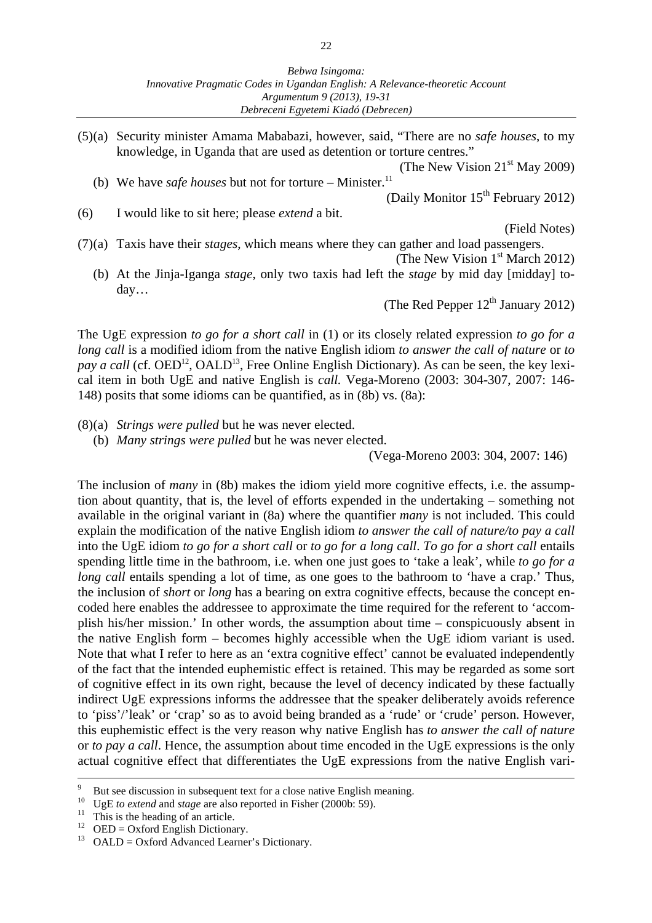(5) (a) Security minister Amama Mababazi, however, said, "There are no *safe houses*, to my knowledge, in Uganda that are used as detention or torture centres."

(The New Vision  $21<sup>st</sup>$  May 2009) (b) We have *safe houses* but not for torture – Minister.<sup>11</sup>

(Daily Monitor  $15<sup>th</sup>$  February 2012)

(6) I would like to sit here; please *extend* a bit.

(Field Notes)

(7) (a) Taxis have their *stages*, which means where they can gather and load passengers.

(The New Vision  $1<sup>st</sup>$  March 2012)

 (b) At the Jinja-Iganga *stage*, only two taxis had left the *stage* by mid day [midday] today…

(The Red Pepper  $12^{th}$  January 2012)

The UgE expression *to go for a short call* in (1) or its closely related expression *to go for a long call* is a modified idiom from the native English idiom *to answer the call of nature* or *to pay a call* (cf.  $OED^{12}$ ,  $OALD^{13}$ , Free Online English Dictionary). As can be seen, the key lexical item in both UgE and native English is *call.* Vega-Moreno (2003: 304-307, 2007: 146- 148) posits that some idioms can be quantified, as in (8b) vs. (8a):

- (8) (a) *Strings were pulled* but he was never elected.
	- (b) *Many strings were pulled* but he was never elected.

(Vega-Moreno 2003: 304, 2007: 146)

The inclusion of *many* in (8b) makes the idiom yield more cognitive effects, i.e. the assumption about quantity, that is, the level of efforts expended in the undertaking – something not available in the original variant in (8a) where the quantifier *many* is not included. This could explain the modification of the native English idiom *to answer the call of nature/to pay a call* into the UgE idiom *to go for a short call* or *to go for a long call*. *To go for a short call* entails spending little time in the bathroom, i.e. when one just goes to 'take a leak', while *to go for a long call* entails spending a lot of time, as one goes to the bathroom to 'have a crap.' Thus, the inclusion of *short* or *long* has a bearing on extra cognitive effects, because the concept encoded here enables the addressee to approximate the time required for the referent to 'accomplish his/her mission.' In other words, the assumption about time – conspicuously absent in the native English form – becomes highly accessible when the UgE idiom variant is used. Note that what I refer to here as an 'extra cognitive effect' cannot be evaluated independently of the fact that the intended euphemistic effect is retained. This may be regarded as some sort of cognitive effect in its own right, because the level of decency indicated by these factually indirect UgE expressions informs the addressee that the speaker deliberately avoids reference to 'piss'/'leak' or 'crap' so as to avoid being branded as a 'rude' or 'crude' person. However, this euphemistic effect is the very reason why native English has *to answer the call of nature*  or *to pay a call*. Hence, the assumption about time encoded in the UgE expressions is the only actual cognitive effect that differentiates the UgE expressions from the native English vari-

<sup>-&</sup>lt;br>9 But see discussion in subsequent text for a close native English meaning.

<sup>&</sup>lt;sup>10</sup> UgE *to extend* and *stage* are also reported in Fisher (2000b: 59).<br><sup>11</sup> This is the heading of an article.

<sup>&</sup>lt;sup>12</sup> OED = Oxford English Dictionary.

<sup>&</sup>lt;sup>13</sup> OALD = Oxford Advanced Learner's Dictionary.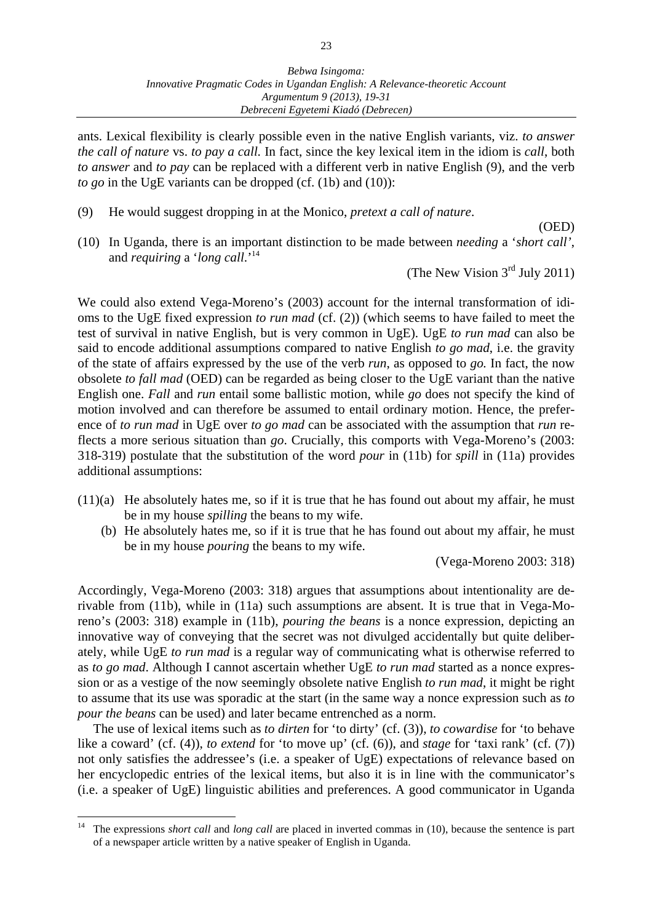ants. Lexical flexibility is clearly possible even in the native English variants, viz. *to answer the call of nature* vs. *to pay a call.* In fact, since the key lexical item in the idiom is *call*, both *to answer* and *to pay* can be replaced with a different verb in native English (9), and the verb *to go* in the UgE variants can be dropped (cf. (1b) and (10)):

(9) He would suggest dropping in at the Monico, *pretext a call of nature*.

(OED)

(10) In Uganda, there is an important distinction to be made between *needing* a '*short call'*, and *requiring* a '*long call*.'14

(The New Vision  $3<sup>rd</sup>$  July 2011)

We could also extend Vega-Moreno's (2003) account for the internal transformation of idioms to the UgE fixed expression *to run mad* (cf. (2)) (which seems to have failed to meet the test of survival in native English, but is very common in UgE). UgE *to run mad* can also be said to encode additional assumptions compared to native English *to go mad*, i.e. the gravity of the state of affairs expressed by the use of the verb *run*, as opposed to *go.* In fact, the now obsolete *to fall mad* (OED) can be regarded as being closer to the UgE variant than the native English one. *Fall* and *run* entail some ballistic motion, while *go* does not specify the kind of motion involved and can therefore be assumed to entail ordinary motion. Hence, the preference of *to run mad* in UgE over *to go mad* can be associated with the assumption that *run* reflects a more serious situation than *go*. Crucially, this comports with Vega-Moreno's (2003: 318-319) postulate that the substitution of the word *pour* in (11b) for *spill* in (11a) provides additional assumptions:

- $(11)(a)$  He absolutely hates me, so if it is true that he has found out about my affair, he must be in my house *spilling* the beans to my wife.
	- (b) He absolutely hates me, so if it is true that he has found out about my affair, he must be in my house *pouring* the beans to my wife.

(Vega-Moreno 2003: 318)

Accordingly, Vega-Moreno (2003: 318) argues that assumptions about intentionality are derivable from (11b), while in (11a) such assumptions are absent. It is true that in Vega-Moreno's (2003: 318) example in (11b), *pouring the beans* is a nonce expression, depicting an innovative way of conveying that the secret was not divulged accidentally but quite deliberately, while UgE *to run mad* is a regular way of communicating what is otherwise referred to as *to go mad*. Although I cannot ascertain whether UgE *to run mad* started as a nonce expression or as a vestige of the now seemingly obsolete native English *to run mad*, it might be right to assume that its use was sporadic at the start (in the same way a nonce expression such as *to pour the beans* can be used) and later became entrenched as a norm.

 The use of lexical items such as *to dirten* for 'to dirty' (cf. (3)), *to cowardise* for 'to behave like a coward' (cf. (4)), *to extend* for 'to move up' (cf. (6)), and *stage* for 'taxi rank' (cf. (7)) not only satisfies the addressee's (i.e. a speaker of UgE) expectations of relevance based on her encyclopedic entries of the lexical items, but also it is in line with the communicator's (i.e. a speaker of UgE) linguistic abilities and preferences. A good communicator in Uganda

<sup>14</sup> The expressions *short call* and *long call* are placed in inverted commas in (10), because the sentence is part of a newspaper article written by a native speaker of English in Uganda.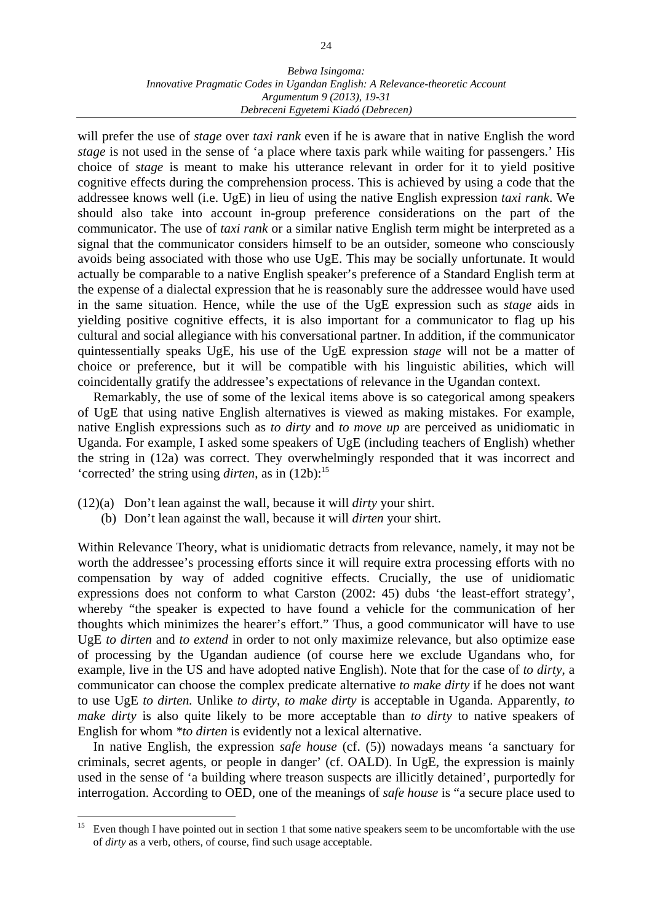#### *Bebwa Isingoma: Innovative Pragmatic Codes in Ugandan English: A Relevance-theoretic Account Argumentum 9 (2013), 19-31 Debreceni Egyetemi Kiadó (Debrecen)*

will prefer the use of *stage* over *taxi rank* even if he is aware that in native English the word *stage* is not used in the sense of 'a place where taxis park while waiting for passengers.' His choice of *stage* is meant to make his utterance relevant in order for it to yield positive cognitive effects during the comprehension process. This is achieved by using a code that the addressee knows well (i.e. UgE) in lieu of using the native English expression *taxi rank*. We should also take into account in-group preference considerations on the part of the communicator. The use of *taxi rank* or a similar native English term might be interpreted as a signal that the communicator considers himself to be an outsider, someone who consciously avoids being associated with those who use UgE. This may be socially unfortunate. It would actually be comparable to a native English speaker's preference of a Standard English term at the expense of a dialectal expression that he is reasonably sure the addressee would have used in the same situation. Hence, while the use of the UgE expression such as *stage* aids in yielding positive cognitive effects, it is also important for a communicator to flag up his cultural and social allegiance with his conversational partner. In addition, if the communicator quintessentially speaks UgE, his use of the UgE expression *stage* will not be a matter of choice or preference, but it will be compatible with his linguistic abilities, which will coincidentally gratify the addressee's expectations of relevance in the Ugandan context.

 Remarkably, the use of some of the lexical items above is so categorical among speakers of UgE that using native English alternatives is viewed as making mistakes. For example, native English expressions such as *to dirty* and *to move up* are perceived as unidiomatic in Uganda. For example, I asked some speakers of UgE (including teachers of English) whether the string in (12a) was correct. They overwhelmingly responded that it was incorrect and 'corrected' the string using *dirten*, as in  $(12b)$ :<sup>15</sup>

(12)(a) Don't lean against the wall, because it will *dirty* your shirt.

 $\overline{a}$ 

(b) Don't lean against the wall, because it will *dirten* your shirt.

Within Relevance Theory, what is unidiomatic detracts from relevance, namely, it may not be worth the addressee's processing efforts since it will require extra processing efforts with no compensation by way of added cognitive effects. Crucially, the use of unidiomatic expressions does not conform to what Carston (2002: 45) dubs 'the least-effort strategy', whereby "the speaker is expected to have found a vehicle for the communication of her thoughts which minimizes the hearer's effort." Thus, a good communicator will have to use UgE *to dirten* and *to extend* in order to not only maximize relevance, but also optimize ease of processing by the Ugandan audience (of course here we exclude Ugandans who, for example, live in the US and have adopted native English). Note that for the case of *to dirty*, a communicator can choose the complex predicate alternative *to make dirty* if he does not want to use UgE *to dirten.* Unlike *to dirty*, *to make dirty* is acceptable in Uganda. Apparently, *to make dirty* is also quite likely to be more acceptable than *to dirty* to native speakers of English for whom *\*to dirten* is evidently not a lexical alternative.

 In native English, the expression *safe house* (cf. (5)) nowadays means 'a sanctuary for criminals, secret agents, or people in danger' (cf. OALD). In UgE, the expression is mainly used in the sense of 'a building where treason suspects are illicitly detained', purportedly for interrogation. According to OED, one of the meanings of *safe house* is "a secure place used to

<sup>&</sup>lt;sup>15</sup> Even though I have pointed out in section 1 that some native speakers seem to be uncomfortable with the use of *dirty* as a verb, others, of course, find such usage acceptable.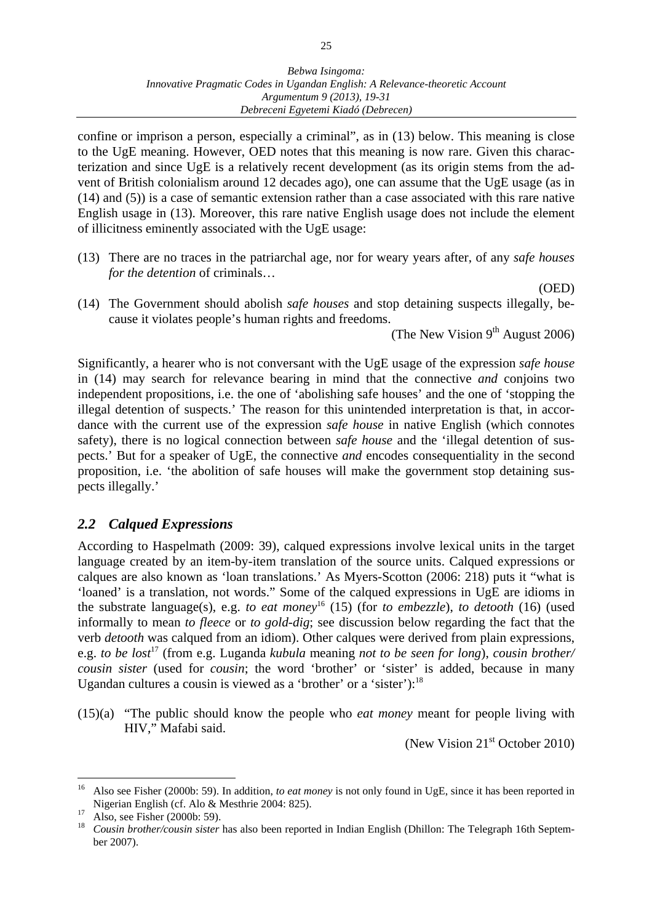confine or imprison a person, especially a criminal", as in (13) below. This meaning is close to the UgE meaning. However, OED notes that this meaning is now rare. Given this characterization and since UgE is a relatively recent development (as its origin stems from the advent of British colonialism around 12 decades ago), one can assume that the UgE usage (as in (14) and (5)) is a case of semantic extension rather than a case associated with this rare native English usage in (13). Moreover, this rare native English usage does not include the element of illicitness eminently associated with the UgE usage:

(13) There are no traces in the patriarchal age, nor for weary years after, of any *safe houses for the detention* of criminals…

(OED)

(14) The Government should abolish *safe houses* and stop detaining suspects illegally, because it violates people's human rights and freedoms.

(The New Vision  $9<sup>th</sup>$  August 2006)

Significantly, a hearer who is not conversant with the UgE usage of the expression *safe house* in (14) may search for relevance bearing in mind that the connective *and* conjoins two independent propositions, i.e. the one of 'abolishing safe houses' and the one of 'stopping the illegal detention of suspects.' The reason for this unintended interpretation is that, in accordance with the current use of the expression *safe house* in native English (which connotes safety), there is no logical connection between *safe house* and the 'illegal detention of suspects.' But for a speaker of UgE, the connective *and* encodes consequentiality in the second proposition, i.e. 'the abolition of safe houses will make the government stop detaining suspects illegally.'

## *2.2 Calqued Expressions*

According to Haspelmath (2009: 39), calqued expressions involve lexical units in the target language created by an item-by-item translation of the source units. Calqued expressions or calques are also known as 'loan translations.' As Myers-Scotton (2006: 218) puts it "what is 'loaned' is a translation, not words." Some of the calqued expressions in UgE are idioms in the substrate language(s), e.g. *to eat money*16 (15) (for *to embezzle*), *to detooth* (16) (used informally to mean *to fleece* or *to gold-dig*; see discussion below regarding the fact that the verb *detooth* was calqued from an idiom). Other calques were derived from plain expressions, e.g. *to be lost*17 (from e.g. Luganda *kubula* meaning *not to be seen for long*), *cousin brother/ cousin sister* (used for *cousin*; the word 'brother' or 'sister' is added, because in many Ugandan cultures a cousin is viewed as a 'brother' or a 'sister'): $<sup>18</sup>$ </sup>

(15)(a) "The public should know the people who *eat money* meant for people living with HIV," Mafabi said.

(New Vision  $21<sup>st</sup>$  October 2010)

<sup>16</sup> Also see Fisher (2000b: 59). In addition, *to eat money* is not only found in UgE, since it has been reported in Nigerian English (cf. Alo & Mesthrie 2004: 825).<br><sup>17</sup> Also, see Fisher (2000b: 59).<br><sup>18</sup> Caugin hugh própruein gitter has also been report.

<sup>18</sup> *Cousin brother/cousin sister* has also been reported in Indian English (Dhillon: The Telegraph 16th September 2007).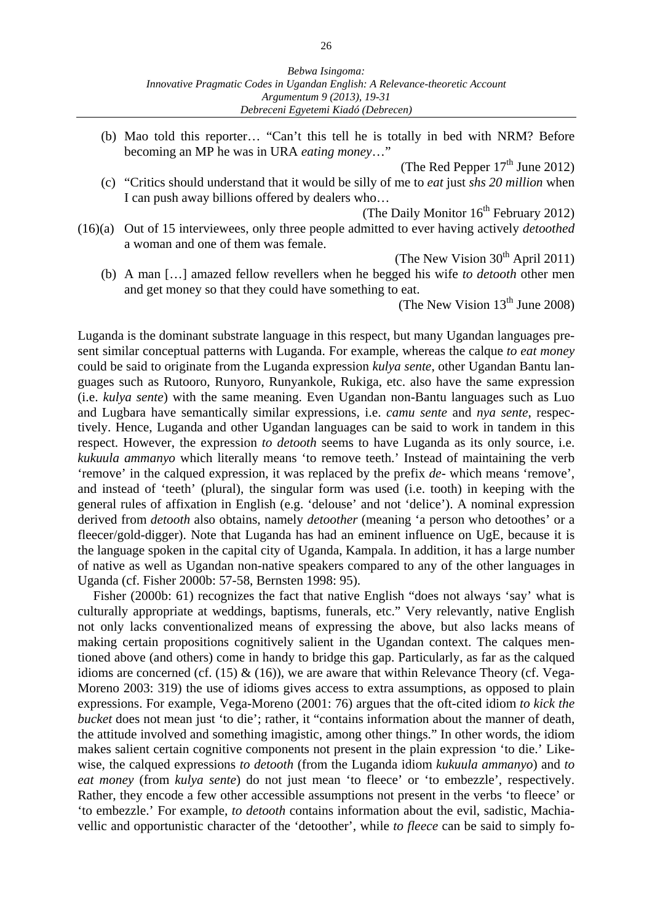(b) Mao told this reporter… "Can't this tell he is totally in bed with NRM? Before becoming an MP he was in URA *eating money*…"

(The Red Pepper  $17<sup>th</sup>$  June 2012)

 (c) "Critics should understand that it would be silly of me to *eat* just *shs 20 million* when I can push away billions offered by dealers who…

(The Daily Monitor  $16^{th}$  February 2012)

(16)(a) Out of 15 interviewees, only three people admitted to ever having actively *detoothed*  a woman and one of them was female.

(The New Vision  $30<sup>th</sup>$  April 2011)

 (b) A man […] amazed fellow revellers when he begged his wife *to detooth* other men and get money so that they could have something to eat.

(The New Vision  $13<sup>th</sup>$  June 2008)

Luganda is the dominant substrate language in this respect, but many Ugandan languages present similar conceptual patterns with Luganda. For example, whereas the calque *to eat money* could be said to originate from the Luganda expression *kulya sente*, other Ugandan Bantu languages such as Rutooro, Runyoro, Runyankole, Rukiga, etc. also have the same expression (i.e. *kulya sente*) with the same meaning. Even Ugandan non-Bantu languages such as Luo and Lugbara have semantically similar expressions, i.e. *camu sente* and *nya sente*, respectively. Hence, Luganda and other Ugandan languages can be said to work in tandem in this respect. However, the expression *to detooth* seems to have Luganda as its only source, i.e. *kukuula ammanyo* which literally means 'to remove teeth.' Instead of maintaining the verb 'remove' in the calqued expression, it was replaced by the prefix *de*- which means 'remove', and instead of 'teeth' (plural), the singular form was used (i.e. tooth) in keeping with the general rules of affixation in English (e.g. 'delouse' and not 'delice'). A nominal expression derived from *detooth* also obtains, namely *detoother* (meaning 'a person who detoothes' or a fleecer/gold-digger). Note that Luganda has had an eminent influence on UgE, because it is the language spoken in the capital city of Uganda, Kampala. In addition, it has a large number of native as well as Ugandan non-native speakers compared to any of the other languages in Uganda (cf. Fisher 2000b: 57-58, Bernsten 1998: 95).

 Fisher (2000b: 61) recognizes the fact that native English "does not always 'say' what is culturally appropriate at weddings, baptisms, funerals, etc." Very relevantly, native English not only lacks conventionalized means of expressing the above, but also lacks means of making certain propositions cognitively salient in the Ugandan context. The calques mentioned above (and others) come in handy to bridge this gap. Particularly, as far as the calqued idioms are concerned (cf. (15)  $\&$  (16)), we are aware that within Relevance Theory (cf. Vega-Moreno 2003: 319) the use of idioms gives access to extra assumptions, as opposed to plain expressions. For example, Vega-Moreno (2001: 76) argues that the oft-cited idiom *to kick the bucket* does not mean just 'to die'; rather, it "contains information about the manner of death, the attitude involved and something imagistic, among other things." In other words, the idiom makes salient certain cognitive components not present in the plain expression 'to die.' Likewise, the calqued expressions *to detooth* (from the Luganda idiom *kukuula ammanyo*) and *to eat money* (from *kulya sente*) do not just mean 'to fleece' or 'to embezzle', respectively. Rather, they encode a few other accessible assumptions not present in the verbs 'to fleece' or 'to embezzle.' For example, *to detooth* contains information about the evil, sadistic, Machiavellic and opportunistic character of the 'detoother', while *to fleece* can be said to simply fo-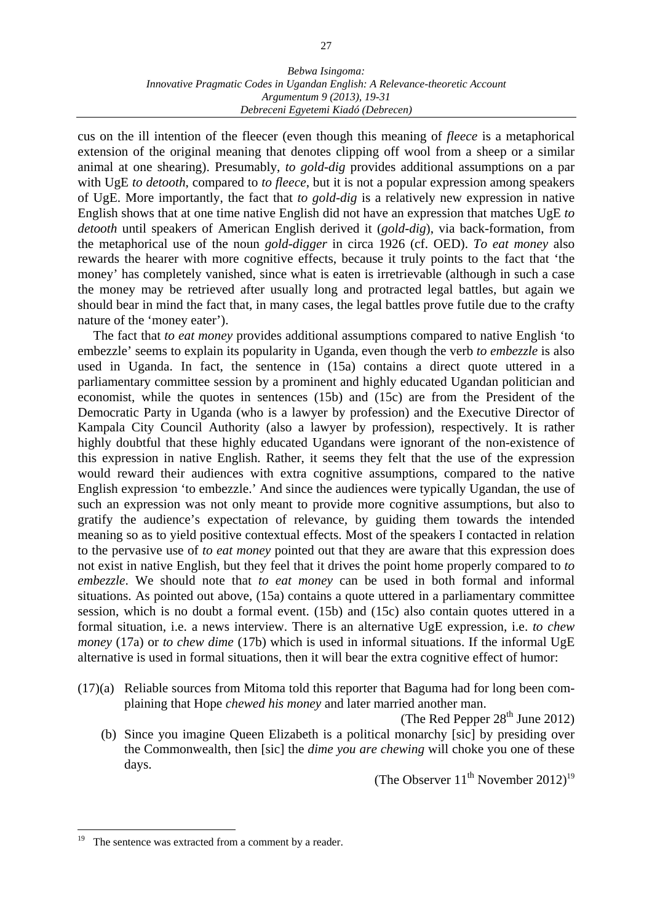#### *Bebwa Isingoma: Innovative Pragmatic Codes in Ugandan English: A Relevance-theoretic Account Argumentum 9 (2013), 19-31 Debreceni Egyetemi Kiadó (Debrecen)*

cus on the ill intention of the fleecer (even though this meaning of *fleece* is a metaphorical extension of the original meaning that denotes clipping off wool from a sheep or a similar animal at one shearing). Presumably, *to gold-dig* provides additional assumptions on a par with UgE *to detooth*, compared to *to fleece*, but it is not a popular expression among speakers of UgE. More importantly, the fact that *to gold-dig* is a relatively new expression in native English shows that at one time native English did not have an expression that matches UgE *to detooth* until speakers of American English derived it (*gold-dig*), via back-formation, from the metaphorical use of the noun *gold-digger* in circa 1926 (cf. OED). *To eat money* also rewards the hearer with more cognitive effects, because it truly points to the fact that 'the money' has completely vanished, since what is eaten is irretrievable (although in such a case the money may be retrieved after usually long and protracted legal battles, but again we should bear in mind the fact that, in many cases, the legal battles prove futile due to the crafty nature of the 'money eater').

 The fact that *to eat money* provides additional assumptions compared to native English 'to embezzle' seems to explain its popularity in Uganda, even though the verb *to embezzle* is also used in Uganda. In fact, the sentence in (15a) contains a direct quote uttered in a parliamentary committee session by a prominent and highly educated Ugandan politician and economist, while the quotes in sentences (15b) and (15c) are from the President of the Democratic Party in Uganda (who is a lawyer by profession) and the Executive Director of Kampala City Council Authority (also a lawyer by profession), respectively. It is rather highly doubtful that these highly educated Ugandans were ignorant of the non-existence of this expression in native English. Rather, it seems they felt that the use of the expression would reward their audiences with extra cognitive assumptions, compared to the native English expression 'to embezzle.' And since the audiences were typically Ugandan, the use of such an expression was not only meant to provide more cognitive assumptions, but also to gratify the audience's expectation of relevance, by guiding them towards the intended meaning so as to yield positive contextual effects. Most of the speakers I contacted in relation to the pervasive use of *to eat money* pointed out that they are aware that this expression does not exist in native English, but they feel that it drives the point home properly compared to *to embezzle*. We should note that *to eat money* can be used in both formal and informal situations. As pointed out above, (15a) contains a quote uttered in a parliamentary committee session, which is no doubt a formal event. (15b) and (15c) also contain quotes uttered in a formal situation, i.e. a news interview. There is an alternative UgE expression, i.e. *to chew money* (17a) or *to chew dime* (17b) which is used in informal situations. If the informal UgE alternative is used in formal situations, then it will bear the extra cognitive effect of humor:

(17)(a) Reliable sources from Mitoma told this reporter that Baguma had for long been complaining that Hope *chewed his money* and later married another man.

(The Red Pepper  $28<sup>th</sup>$  June 2012)

 (b) Since you imagine Queen Elizabeth is a political monarchy [sic] by presiding over the Commonwealth, then [sic] the *dime you are chewing* will choke you one of these days.

(The Observer  $11^{th}$  November  $2012$ )<sup>19</sup>

<sup>19</sup> The sentence was extracted from a comment by a reader.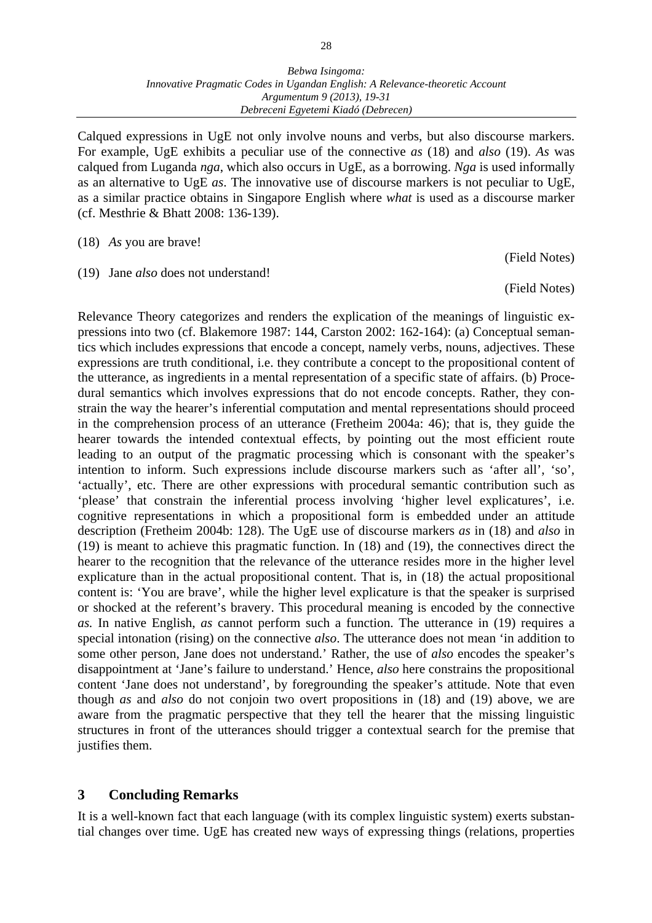Calqued expressions in UgE not only involve nouns and verbs, but also discourse markers. For example, UgE exhibits a peculiar use of the connective *as* (18) and *also* (19). *As* was calqued from Luganda *nga*, which also occurs in UgE, as a borrowing. *Nga* is used informally as an alternative to UgE *as*. The innovative use of discourse markers is not peculiar to UgE, as a similar practice obtains in Singapore English where *what* is used as a discourse marker (cf. Mesthrie & Bhatt 2008: 136-139).

(18) *As* you are brave!

(19) Jane *also* does not understand!

(Field Notes)

(Field Notes)

Relevance Theory categorizes and renders the explication of the meanings of linguistic expressions into two (cf. Blakemore 1987: 144, Carston 2002: 162-164): (a) Conceptual semantics which includes expressions that encode a concept, namely verbs, nouns, adjectives. These expressions are truth conditional, i.e. they contribute a concept to the propositional content of the utterance, as ingredients in a mental representation of a specific state of affairs. (b) Procedural semantics which involves expressions that do not encode concepts. Rather, they constrain the way the hearer's inferential computation and mental representations should proceed in the comprehension process of an utterance (Fretheim 2004a: 46); that is, they guide the hearer towards the intended contextual effects, by pointing out the most efficient route leading to an output of the pragmatic processing which is consonant with the speaker's intention to inform. Such expressions include discourse markers such as 'after all', 'so', 'actually', etc. There are other expressions with procedural semantic contribution such as 'please' that constrain the inferential process involving 'higher level explicatures', i.e. cognitive representations in which a propositional form is embedded under an attitude description (Fretheim 2004b: 128). The UgE use of discourse markers *as* in (18) and *also* in (19) is meant to achieve this pragmatic function. In (18) and (19), the connectives direct the hearer to the recognition that the relevance of the utterance resides more in the higher level explicature than in the actual propositional content. That is, in (18) the actual propositional content is: 'You are brave', while the higher level explicature is that the speaker is surprised or shocked at the referent's bravery. This procedural meaning is encoded by the connective *as.* In native English, *as* cannot perform such a function. The utterance in (19) requires a special intonation (rising) on the connective *also*. The utterance does not mean 'in addition to some other person, Jane does not understand.' Rather, the use of *also* encodes the speaker's disappointment at 'Jane's failure to understand.' Hence, *also* here constrains the propositional content 'Jane does not understand', by foregrounding the speaker's attitude. Note that even though *as* and *also* do not conjoin two overt propositions in (18) and (19) above, we are aware from the pragmatic perspective that they tell the hearer that the missing linguistic structures in front of the utterances should trigger a contextual search for the premise that justifies them.

#### **3 Concluding Remarks**

It is a well-known fact that each language (with its complex linguistic system) exerts substantial changes over time. UgE has created new ways of expressing things (relations, properties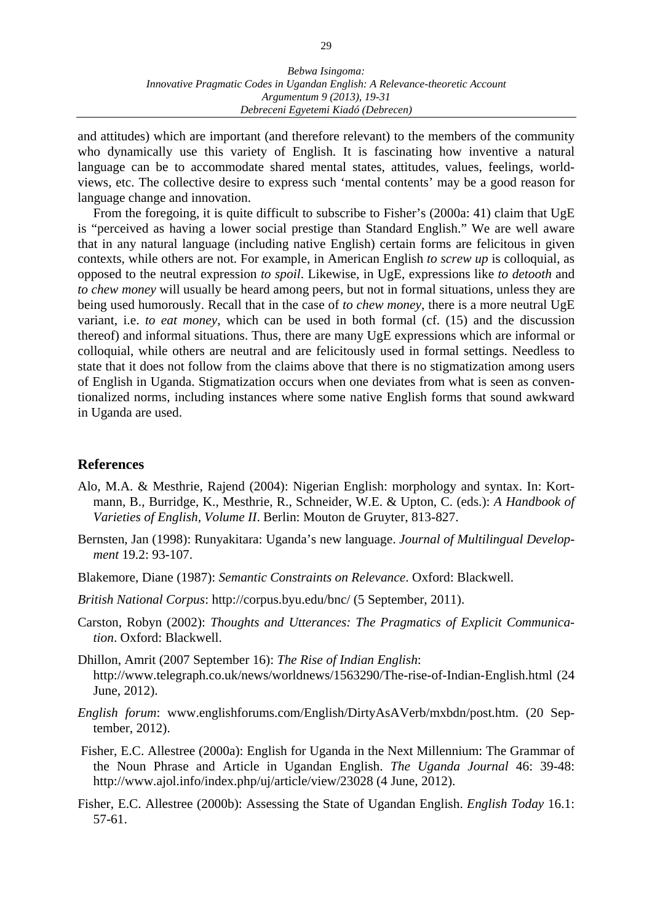and attitudes) which are important (and therefore relevant) to the members of the community who dynamically use this variety of English. It is fascinating how inventive a natural language can be to accommodate shared mental states, attitudes, values, feelings, worldviews, etc. The collective desire to express such 'mental contents' may be a good reason for language change and innovation.

 From the foregoing, it is quite difficult to subscribe to Fisher's (2000a: 41) claim that UgE is "perceived as having a lower social prestige than Standard English." We are well aware that in any natural language (including native English) certain forms are felicitous in given contexts, while others are not. For example, in American English *to screw up* is colloquial, as opposed to the neutral expression *to spoil*. Likewise, in UgE, expressions like *to detooth* and *to chew money* will usually be heard among peers, but not in formal situations, unless they are being used humorously. Recall that in the case of *to chew money*, there is a more neutral UgE variant, i.e. *to eat money*, which can be used in both formal (cf. (15) and the discussion thereof) and informal situations. Thus, there are many UgE expressions which are informal or colloquial, while others are neutral and are felicitously used in formal settings. Needless to state that it does not follow from the claims above that there is no stigmatization among users of English in Uganda. Stigmatization occurs when one deviates from what is seen as conventionalized norms, including instances where some native English forms that sound awkward in Uganda are used.

#### **References**

- Alo, M.A. & Mesthrie, Rajend (2004): Nigerian English: morphology and syntax. In: Kortmann, B., Burridge, K., Mesthrie, R., Schneider, W.E. & Upton, C. (eds.): *A Handbook of Varieties of English, Volume II*. Berlin: Mouton de Gruyter, 813-827.
- Bernsten, Jan (1998): Runyakitara: Uganda's new language. *Journal of Multilingual Development* 19.2: 93-107.
- Blakemore, Diane (1987): *Semantic Constraints on Relevance*. Oxford: Blackwell.
- *British National Corpus*: http://corpus.byu.edu/bnc/ (5 September, 2011).
- Carston, Robyn (2002): *Thoughts and Utterances: The Pragmatics of Explicit Communication*. Oxford: Blackwell.
- Dhillon, Amrit (2007 September 16): *The Rise of Indian English*: http://www.telegraph.co.uk/news/worldnews/1563290/The-rise-of-Indian-English.html (24 June, 2012).
- *English forum*: www.englishforums.com/English/DirtyAsAVerb/mxbdn/post.htm. (20 September, 2012).
- Fisher, E.C. Allestree (2000a): English for Uganda in the Next Millennium: The Grammar of the Noun Phrase and Article in Ugandan English. *The Uganda Journal* 46: 39-48: http://www.ajol.info/index.php/uj/article/view/23028 (4 June, 2012).
- Fisher, E.C. Allestree (2000b): Assessing the State of Ugandan English. *English Today* 16.1: 57-61.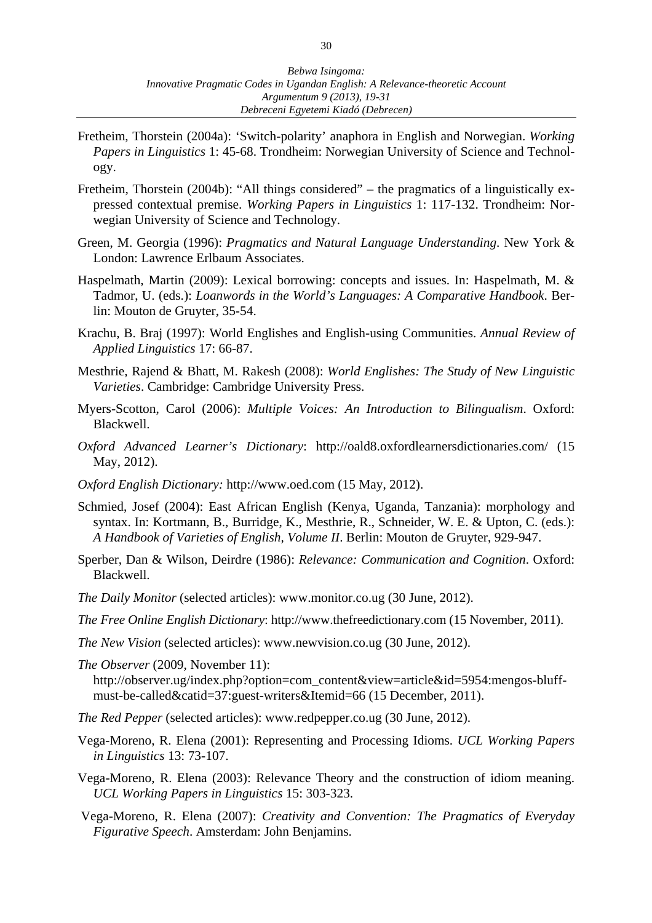- Fretheim, Thorstein (2004a): 'Switch-polarity' anaphora in English and Norwegian. *Working Papers in Linguistics* 1: 45-68. Trondheim: Norwegian University of Science and Technology.
- Fretheim, Thorstein (2004b): "All things considered" the pragmatics of a linguistically expressed contextual premise. *Working Papers in Linguistics* 1: 117-132. Trondheim: Norwegian University of Science and Technology.
- Green, M. Georgia (1996): *Pragmatics and Natural Language Understanding*. New York & London: Lawrence Erlbaum Associates.
- Haspelmath, Martin (2009): Lexical borrowing: concepts and issues. In: Haspelmath, M. & Tadmor, U. (eds.): *Loanwords in the World's Languages: A Comparative Handbook*. Berlin: Mouton de Gruyter, 35-54.
- Krachu, B. Braj (1997): World Englishes and English-using Communities. *Annual Review of Applied Linguistics* 17: 66-87.
- Mesthrie, Rajend & Bhatt, M. Rakesh (2008): *World Englishes: The Study of New Linguistic Varieties*. Cambridge: Cambridge University Press.
- Myers-Scotton, Carol (2006): *Multiple Voices: An Introduction to Bilingualism*. Oxford: Blackwell.
- *Oxford Advanced Learner's Dictionary*: http://oald8.oxfordlearnersdictionaries.com/ (15 May, 2012).
- *Oxford English Dictionary:* http://www.oed.com (15 May, 2012).
- Schmied, Josef (2004): East African English (Kenya, Uganda, Tanzania): morphology and syntax. In: Kortmann, B., Burridge, K., Mesthrie, R., Schneider, W. E. & Upton, C. (eds.): *A Handbook of Varieties of English, Volume II*. Berlin: Mouton de Gruyter, 929-947.
- Sperber, Dan & Wilson, Deirdre (1986): *Relevance: Communication and Cognition*. Oxford: Blackwell.
- *The Daily Monitor* (selected articles): www.monitor.co.ug (30 June, 2012).
- *The Free Online English Dictionary*: http://www.thefreedictionary.com (15 November, 2011).
- *The New Vision* (selected articles): www.newvision.co.ug (30 June, 2012).
- *The Observer* (2009, November 11): http://observer.ug/index.php?option=com\_content&view=article&id=5954:mengos-bluffmust-be-called&catid=37:guest-writers&Itemid=66 (15 December, 2011).
- *The Red Pepper* (selected articles): www.redpepper.co.ug (30 June, 2012).
- Vega-Moreno, R. Elena (2001): Representing and Processing Idioms. *UCL Working Papers in Linguistics* 13: 73-107.
- Vega-Moreno, R. Elena (2003): Relevance Theory and the construction of idiom meaning. *UCL Working Papers in Linguistics* 15: 303-323.
- Vega-Moreno, R. Elena (2007): *Creativity and Convention: The Pragmatics of Everyday Figurative Speech*. Amsterdam: John Benjamins.